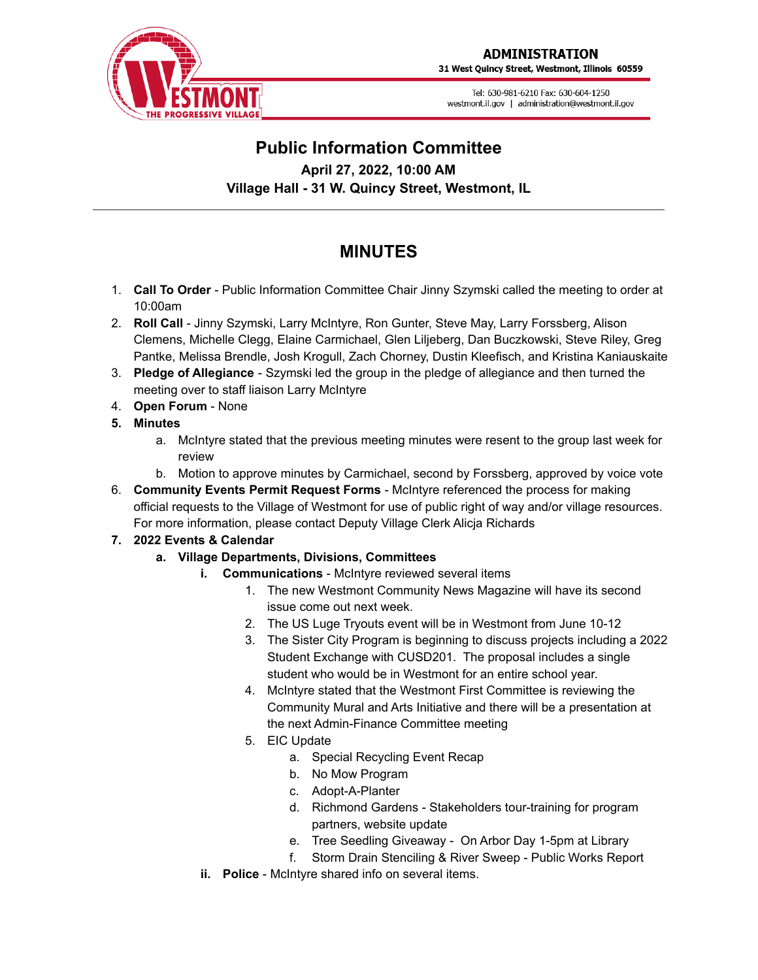

31 West Quincy Street, Westmont, Illinois 60559

Tel: 630-981-6210 Fax: 630-604-1250 westmont.il.gov | administration@westmont.il.gov



## **Public Information Committee April 27, 2022, 10:00 AM Village Hall - 31 W. Quincy Street, Westmont, IL**

# **MINUTES**

- 1. **Call To Order** Public Information Committee Chair Jinny Szymski called the meeting to order at 10:00am
- 2. **Roll Call** Jinny Szymski, Larry McIntyre, Ron Gunter, Steve May, Larry Forssberg, Alison Clemens, Michelle Clegg, Elaine Carmichael, Glen Liljeberg, Dan Buczkowski, Steve Riley, Greg Pantke, Melissa Brendle, Josh Krogull, Zach Chorney, Dustin Kleefisch, and Kristina Kaniauskaite
- 3. **Pledge of Allegiance** Szymski led the group in the pledge of allegiance and then turned the meeting over to staff liaison Larry McIntyre
- 4. **Open Forum** None
- **5. Minutes**
	- a. McIntyre stated that the previous meeting minutes were resent to the group last week for review
	- b. Motion to approve minutes by Carmichael, second by Forssberg, approved by voice vote
- 6. **Community Events Permit Request Forms** McIntyre referenced the process for making official requests to the Village of Westmont for use of public right of way and/or village resources. For more information, please contact Deputy Village Clerk Alicja Richards

### **7. 2022 Events & Calendar**

- **a. Village Departments, Divisions, Committees**
	- **i. Communications** McIntyre reviewed several items
		- 1. The new Westmont Community News Magazine will have its second issue come out next week.
		- 2. The US Luge Tryouts event will be in Westmont from June 10-12
		- 3. The Sister City Program is beginning to discuss projects including a 2022 Student Exchange with CUSD201. The proposal includes a single student who would be in Westmont for an entire school year.
		- 4. McIntyre stated that the Westmont First Committee is reviewing the Community Mural and Arts Initiative and there will be a presentation at the next Admin-Finance Committee meeting
		- 5. EIC Update
			- a. Special Recycling Event Recap
			- b. No Mow Program
			- c. Adopt-A-Planter
			- d. Richmond Gardens Stakeholders tour-training for program partners, website update
			- e. Tree Seedling Giveaway On Arbor Day 1-5pm at Library
			- f. Storm Drain Stenciling & River Sweep Public Works Report
	- **ii. Police** McIntyre shared info on several items.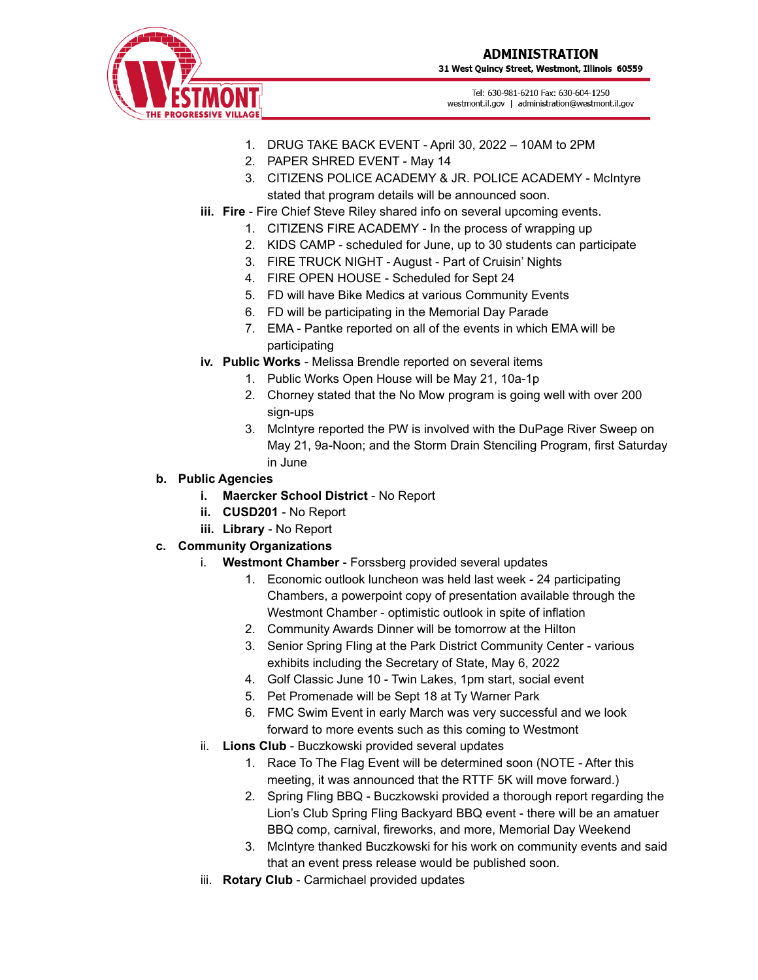31 West Quincy Street, Westmont, Illinois 60559



Tel: 630-981-6210 Fax: 630-604-1250 westmont.il.gov | administration@westmont.il.gov

- 1. DRUG TAKE BACK EVENT April 30, 2022 10AM to 2PM
- 2. PAPER SHRED EVENT May 14
- 3. CITIZENS POLICE ACADEMY & JR. POLICE ACADEMY McIntyre stated that program details will be announced soon.
- **iii. Fire** Fire Chief Steve Riley shared info on several upcoming events.
	- 1. CITIZENS FIRE ACADEMY In the process of wrapping up
	- 2. KIDS CAMP scheduled for June, up to 30 students can participate
	- 3. FIRE TRUCK NIGHT August Part of Cruisin' Nights
	- 4. FIRE OPEN HOUSE Scheduled for Sept 24
	- 5. FD will have Bike Medics at various Community Events
	- 6. FD will be participating in the Memorial Day Parade
	- 7. EMA Pantke reported on all of the events in which EMA will be participating
- **iv. Public Works** Melissa Brendle reported on several items
	- 1. Public Works Open House will be May 21, 10a-1p
	- 2. Chorney stated that the No Mow program is going well with over 200 sign-ups
	- 3. McIntyre reported the PW is involved with the DuPage River Sweep on May 21, 9a-Noon; and the Storm Drain Stenciling Program, first Saturday in June
- **b. Public Agencies**
	- **i. Maercker School District** No Report
	- **ii. CUSD201** No Report
	- **iii. Library** No Report
- **c. Community Organizations**
	- i. **Westmont Chamber** Forssberg provided several updates
		- 1. Economic outlook luncheon was held last week 24 participating Chambers, a powerpoint copy of presentation available through the Westmont Chamber - optimistic outlook in spite of inflation
		- 2. Community Awards Dinner will be tomorrow at the Hilton
		- 3. Senior Spring Fling at the Park District Community Center various exhibits including the Secretary of State, May 6, 2022
		- 4. Golf Classic June 10 Twin Lakes, 1pm start, social event
		- 5. Pet Promenade will be Sept 18 at Ty Warner Park
		- 6. FMC Swim Event in early March was very successful and we look forward to more events such as this coming to Westmont
	- ii. **Lions Club** Buczkowski provided several updates
		- 1. Race To The Flag Event will be determined soon (NOTE After this meeting, it was announced that the RTTF 5K will move forward.)
		- 2. Spring Fling BBQ Buczkowski provided a thorough report regarding the Lion's Club Spring Fling Backyard BBQ event - there will be an amatuer BBQ comp, carnival, fireworks, and more, Memorial Day Weekend
		- 3. McIntyre thanked Buczkowski for his work on community events and said that an event press release would be published soon.
	- iii. **Rotary Club** Carmichael provided updates